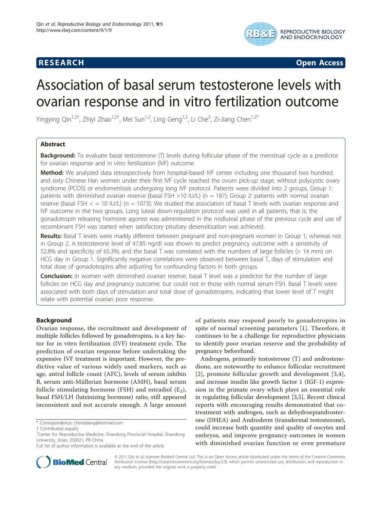## **RESEARCH CONSTRUCTION CONSTRUCTS**



# Association of basal serum testosterone levels with ovarian response and in vitro fertilization outcome

Yingying Qin<sup>1,2†</sup>, Zhiyi Zhao<sup>1,2†</sup>, Mei Sun<sup>1,2</sup>, Ling Geng<sup>1,2</sup>, Li Che<sup>3</sup>, Zi-Jiang Chen<sup>1,2\*</sup>

## Abstract

**Background:** To evaluate basal testosterone (T) levels during follicular phase of the menstrual cycle as a predictor for ovarian response and in vitro fertilization (IVF) outcome.

Method: We analyzed data retrospectively from hospital-based IVF center including one thousand two hundred and sixty Chinese Han women under their first IVF cycle reached the ovum pick-up stage, without polycystic ovary syndrome (PCOS) or endometriosis undergoing long IVF protocol. Patients were divided into 2 groups. Group 1: patients with diminished ovarian reserve (basal FSH >10 IU/L) (n = 187); Group 2: patients with normal ovarian reserve (basal FSH  $\lt$  = 10 IU/L) (n = 1073). We studied the association of basal T levels with ovarian response and IVF outcome in the two groups. Long luteal down-regulation protocol was used in all patients, that is, the gonadotropin releasing hormone agonist was administered in the midluteal phase of the previous cycle and use of recombinant FSH was started when satisfactory pituitary desensitization was achieved.

Results: Basal T levels were markly different between pregnant and non-pregnant women in Group 1; whereas not in Group 2. A testosterone level of 47.85 ng/dl was shown to predict pregnancy outcome with a sensitivity of 52.8% and specificity of 65.3%; and the basal T was correlated with the numbers of large follicles (> 14 mm) on HCG day in Group 1. Significantly negative correlations were observed between basal T, days of stimulation and total dose of gonadotropins after adjusting for confounding factors in both groups.

**Conclusion:** In women with diminished ovarian reserve, basal T level was a predictor for the number of large follicles on HCG day and pregnancy outcome; but could not in those with normal serum FSH. Basal T levels were associated with both days of stimulation and total dose of gonadotropins, indicating that lower level of T might relate with potential ovarian poor response.

## Background

Ovarian response, the recruitment and development of multiple follicles followed by gonadotropins, is a key factor for in vitro fertilization (IVF) treatment cycle. The prediction of ovarian response before undertaking the expensive IVF treatment is important. However, the predictive value of various widely used markers, such as age, antral follicle count (AFC), levels of serum inhibin B, serum anti-Müllerian hormone (AMH), basal serum follicle stimulating hormone (FSH) and estradiol  $(E_2)$ , basal FSH/LH (luteinizing hormone) ratio, still appeared inconsistent and not accurate enough. A large amount

of patients may respond poorly to gonadotropins in spite of normal screening parameters [[1\]](#page-5-0). Therefore, it continues to be a challenge for reproductive physicians to identify poor ovarian reserve and the probability of pregnancy beforehand.

Androgens, primarily testosterone (T) and androstenedione, are noteworthy to enhance follicular recruitment [[2](#page-5-0)], promote follicular growth and development [[3](#page-5-0),[4\]](#page-5-0), and increase insulin like growth factor 1 (IGF-1) expression in the primate ovary which plays an essential role in regulating follicular development [\[3,5](#page-5-0)]. Recent clinical reports with encouraging results demonstrated that cotreatment with androgen, such as dehydroepiandrosterone (DHEA) and Androderm (transdermal testosterone), could increase both quantity and quality of oocytes and embryos, and improve pregnancy outcomes in women with diminished ovarian function or even premature



© 2011 Qin et al; licensee BioMed Central Ltd. This is an Open Access article distributed under the terms of the Creative Commons Attribution License [\(http://creativecommons.org/licenses/by/2.0](http://creativecommons.org/licenses/by/2.0)), which permits unrestricted use, distribution, and reproduction in any medium, provided the original work is properly cited.

<sup>\*</sup> Correspondence: [chenzijiang@hotmail.com](mailto:chenzijiang@hotmail.com)

<sup>†</sup> Contributed equally <sup>1</sup>

Center for Reproductive Medicine, Shandong Provincial Hospital, Shandong University, Jinan, 250021, PR China

Full list of author information is available at the end of the article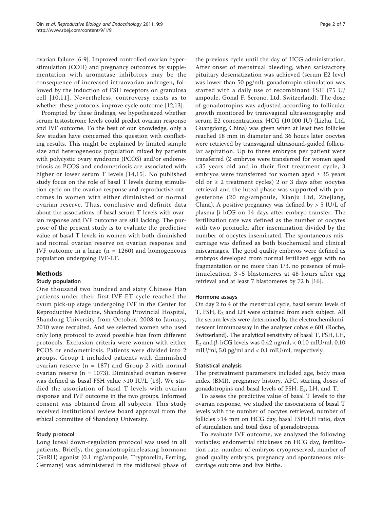ovarian failure [[6-9](#page-5-0)]. Improved controlled ovarian hyperstimulation (COH) and pregnancy outcomes by supplementation with aromatase inhibitors may be the consequence of increased intraovarian androgen, followed by the induction of FSH receptors on granulosa cell [[10,11\]](#page-5-0). Nevertheless, controversy exists as to whether these protocols improve cycle outcome [\[12,13\]](#page-5-0).

Prompted by these findings, we hypothesized whether serum testosterone levels could predict ovarian response and IVF outcome. To the best of our knowledge, only a few studies have concerned this question with conflicting results. This might be explained by limited sample size and heterogeneous population mixed by patients with polycystic ovary syndrome (PCOS) and/or endometriosis as PCOS and endometriosis are associated with higher or lower serum T levels [[14,15\]](#page-6-0). No published study focus on the role of basal T levels during stimulation cycle on the ovarian response and reproductive outcomes in women with either diminished or normal ovarian reserve. Thus, conclusive and definite data about the associations of basal serum T levels with ovarian response and IVF outcome are still lacking. The purpose of the present study is to evaluate the predictive value of basal T levels in women with both diminished and normal ovarian reserve on ovarian response and IVF outcome in a large  $(n = 1260)$  and homogeneous population undergoing IVF-ET.

## Methods

## Study population

One thousand two hundred and sixty Chinese Han patients under their first IVF-ET cycle reached the ovum pick-up stage undergoing IVF in the Center for Reproductive Medicine, Shandong Provincial Hospital, Shandong University from October, 2008 to January, 2010 were recruited. And we selected women who used only long protocol to avoid possible bias from different protocols. Exclusion criteria were women with either PCOS or endometriosis. Patients were divided into 2 groups. Group 1 included patients with diminished ovarian reserve ( $n = 187$ ) and Group 2 with normal ovarian reserve ( $n = 1073$ ). Diminished ovarian reserve was defined as basal FSH value >10 IU/L [[13\]](#page-5-0). We studied the association of basal T levels with ovarian response and IVF outcome in the two groups. Informed consent was obtained from all subjects. This study received institutional review board approval from the ethical committee of Shandong University.

## Study protocol

Long luteal down-regulation protocol was used in all patients. Briefly, the gonadotropinreleasing hormone (GnRH) agonist (0.1 mg/ampoule, Tryptorelin, Ferring, Germany) was administered in the midluteal phase of

the previous cycle until the day of HCG administration. After onset of menstrual bleeding, when satisfactory pituitary desensitization was achieved (serum E2 level was lower than 50 pg/ml), gonadotropin stimulation was started with a daily use of recombinant FSH (75 U/ ampoule, Gonal F, Serono. Ltd, Switzerland). The dose of gonadotropins was adjusted according to follicular growth monitored by transvaginal ultrasonography and serum E2 concentrations. HCG (10,000 IU) (Lizhu. Ltd, Guangdong, China) was given when at least two follicles reached 18 mm in diameter and 36 hours later oocytes were retrieved by transvaginal ultrasound-guided follicular aspiration. Up to three embryos per patient were transferred (2 embryos were transferred for women aged <35 years old and in their first treatment cycle, 3 embryos were transferred for women aged  $\geq$  35 years old or  $\geq 2$  treatment cycles) 2 or 3 days after oocytes retrieval and the luteal phase was supported with progesterone (20 mg/ampoule, Xianju Ltd, Zhejiang, China). A positive pregnancy was defined by  $> 5$  IU/L of plasma  $\beta$ -hCG on 14 days after embryo transfer. The fertilization rate was defined as the number of oocytes with two pronuclei after insemination divided by the number of oocytes inseminated. The spontaneous miscarriage was defined as both biochemical and clinical miscarriages. The good quality embryos were defined as embryos developed from normal fertilized eggs with no fragmentation or no more than 1/3, no presence of multinucleation, 3~5 blastomeres at 48 hours after egg retrieval and at least 7 blastomeres by 72 h [[16](#page-6-0)].

## Hormone assays

On day 2 to 4 of the menstrual cycle, basal serum levels of T, FSH,  $E_2$  and LH were obtained from each subject. All the serum levels were determined by the electrochemiluminescent immunoassay in the analyzer cobas e 601 (Roche, Switzerland). The analytical sensitivity of basal T, FSH, LH,  $E_2$  and  $\beta$ -hCG levels was 0.42 ng/ml, < 0.10 mIU/ml, 0.10 mIU/ml, 5.0 pg/ml and < 0.1 mIU/ml, respectively.

## Statistical analysis

The pretreatment parameters included age, body mass index (BMI), pregnancy history, AFC, starting doses of gonadotropins and basal levels of FSH, E<sub>2</sub>, LH, and T.

To assess the predictive value of basal T levels to the ovarian response, we studied the associations of basal T levels with the number of oocytes retrieved, number of follicles >14 mm on HCG day, basal FSH/LH ratio, days of stimulation and total dose of gonadotropins.

To evaluate IVF outcome, we analyzed the following variables: endometrial thickness on HCG day, fertilization rate, number of embryos cryopreserved, number of good quality embryos, pregnancy and spontaneous miscarriage outcome and live births.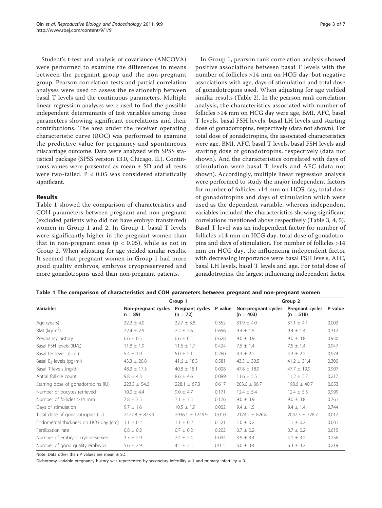Student's t-test and analysis of covariance (ANCOVA) were performed to examine the differences in means between the pregnant group and the non-pregnant group. Pearson correlation tests and partial correlation analyses were used to assess the relationship between basal T levels and the continuous parameters. Multiple linear regression analyses were used to find the possible independent determinants of test variables among those parameters showing significant correlations and their contributions. The area under the receiver operating characteristic curve (ROC) was performed to examine the predictive value for pregnancy and spontaneous miscarriage outcome. Data were analyzed with SPSS statistical package (SPSS version 13.0, Chicago, IL). Continuous values were presented as mean ± SD and all tests were two-tailed. P < 0.05 was considered statistically significant.

### Results

Table 1 showed the comparison of characteristics and COH parameters between pregnant and non-pregnant (excluded patients who did not have embryo transferred) women in Group 1 and 2. In Group 1, basal T levels were significantly higher in the pregnant women than that in non-pregnant ones ( $p < 0.05$ ), while as not in Group 2. When adjusting for age yielded similar results. It seemed that pregnant women in Group 1 had more good quality embryos, embryos cryopreservered and more gonadotropins used than non-pregnant patients.

In Group 1, pearson rank correlation analysis showed positive associations between basal T levels with the number of follicles >14 mm on HCG day, but negative associations with age, days of stimulation and total dose of gonadotropins used. When adjusting for age yielded similar results (Table [2](#page-3-0)). In the pearson rank correlation analysis, the characteristics associated with number of follicles >14 mm on HCG day were age, BMI, AFC, basal T levels, basal FSH levels, basal LH levels and starting dose of gonadotropins, respectively (data not shown). For total dose of gonadotropins, the associated characteristics were age, BMI, AFC, basal T levels, basal FSH levels and starting dose of gonadotropins, respectively (data not shown). And the characteristics correlated with days of stimulation were basal T levels and AFC (data not shown). Accordingly, multiple linear regression analysis were performed to study the major independent factors for number of follicles >14 mm on HCG day, total dose of gonadotropins and days of stimulation which were used as the dependent variable, whereas independent variables included the characteristics showing significant correlations mentioned above respectively (Table [3](#page-3-0), [4](#page-4-0), [5](#page-4-0)). Basal T level was an independent factor for number of follicles >14 mm on HCG day, total dose of gonadotropins and days of stimulation. For number of follicles >14 mm on HCG day, the influencing independent factor with decreasing importance were basal FSH levels, AFC, basal LH levels, basal T levels and age. For total dose of gonadotropins, the largest influencing independent factor

|  |  | Table 1 The comparison of characteristics and COH parameters between pregnant and non-pregnant women |  |  |  |  |  |  |  |
|--|--|------------------------------------------------------------------------------------------------------|--|--|--|--|--|--|--|
|--|--|------------------------------------------------------------------------------------------------------|--|--|--|--|--|--|--|

|                                       |                                 | Group 1                               | Group 2 |                                    |                                        |       |
|---------------------------------------|---------------------------------|---------------------------------------|---------|------------------------------------|----------------------------------------|-------|
| <b>Variables</b>                      | Non-pregnant cycles<br>$n = 89$ | Pregnant cycles P value<br>$(n = 72)$ |         | Non-pregnant cycles<br>$(n = 403)$ | Pregnant cycles P value<br>$(n = 518)$ |       |
| Age (years)                           | $32.2 \pm 4.0$                  | $32.7 \pm 3.8$                        | 0.352   | $31.9 \pm 4.0$                     | $31.1 \pm 4.1$                         | 0.003 |
| BMI ( $kg/m2$ )                       | $22.4 \pm 2.9$                  | $2.2 \pm 2.6$                         | 0.696   | $9.4 \pm 1.5$                      | $9.4 \pm 1.4$                          | 0.312 |
| Pregnancy history                     | $0.6 \pm 0.5$                   | $0.6 \pm 0.5$                         | 0.628   | $9.0 \pm 3.9$                      | $9.0 \pm 3.8$                          | 0.930 |
| Basal FSH levels (IU/L)               | $11.8 \pm 1.9$                  | $11.6 \pm 1.7$                        | 0.424   | $7.5 \pm 1.4$                      | $7.5 \pm 1.4$                          | 0.947 |
| Basal LH levels (IU/L)                | $5.4 \pm 1.9$                   | $5.0 \pm 2.1$                         | 0.260   | $4.3 \pm 2.2$                      | $4.3 \pm 2.2$                          | 0.974 |
| Basal E <sub>2</sub> levels (pg/ml)   | $43.3 \pm 20.8$                 | $41.6 \pm 18.3$                       | 0.581   | $43.3 \pm 30.5$                    | $41.2 \pm 31.4$                        | 0.300 |
| Basal T levels (ng/dl)                | $48.3 \pm 17.3$                 | $40.8 \pm 18.1$                       | 0.008   | $47.8 \pm 18.9$                    | $47.7 \pm 19.9$                        | 0.907 |
| Antral follicle count                 | $9.8 \pm 4.3$                   | $8.6 \pm 4.6$                         | 0.099   | $11.6 \pm 5.5$                     | $11.2 \pm 5.7$                         | 0.217 |
| Starting dose of gonadotropins (IU)   | $223.3 \pm 54.6$                | $228.1 \pm 67.3$                      | 0.617   | $203.6 \pm 36.7$                   | $198.6 \pm 40.7$                       | 0.053 |
| Number of oocytes retrieved           | $10.0 \pm 4.4$                  | $9.0 \pm 4.7$                         | 0.171   | $12.4 \pm 5.4$                     | $12.4 \pm 5.3$                         | 0.999 |
| Number of follicles >14 mm            | $7.8 \pm 3.5$                   | $7.1 \pm 3.5$                         | 0.176   | $9.0 \pm 3.9$                      | $9.0 \pm 3.8$                          | 0.761 |
| Days of stimulation                   | $9.7 \pm 1.6$                   | $10.5 \pm 1.9$                        | 0.002   | $9.4 \pm 1.5$                      | $9.4 \pm 1.4$                          | 0.744 |
| Total dose of gonadotropins (IU)      | $2477.8 \pm 873.9$              | 2936.1 ± 1249.9                       | 0.010   | $2174.2 \pm 826.8$                 | $2042.3 \pm 728.7$                     | 0.012 |
| Endometrial thickness on HCG day (cm) | $1.1 \pm 0.2$                   | $1.1 \pm 0.2$                         | 0.521   | $1.0 \pm 0.2$                      | $1.1 \pm 0.2$                          | 0.001 |
| Fertilization rate                    | $0.8 \pm 0.2$                   | $0.7 \pm 0.2$                         | 0.202   | $0.7 \pm 0.2$                      | $0.7 \pm 0.2$                          | 0.615 |
| Number of embryos cryopreserved       | $3.3 \pm 2.9$                   | $2.4 \pm 2.4$                         | 0.034   | $3.9 \pm 3.4$                      | 4.1 $\pm$ 3.2                          | 0.256 |
| Number of good quality embryos        | $5.6 \pm 2.9$                   | $4.5 \pm 2.5$                         | 0.015   | $6.0 \pm 3.4$                      | $6.3 \pm 3.2$                          | 0.219 |

Note: Data other than P values are mean  $\pm$  SD.

Dichotomy variable pregnancy history was represented by secondary infertility = 1 and primary infertility = 0.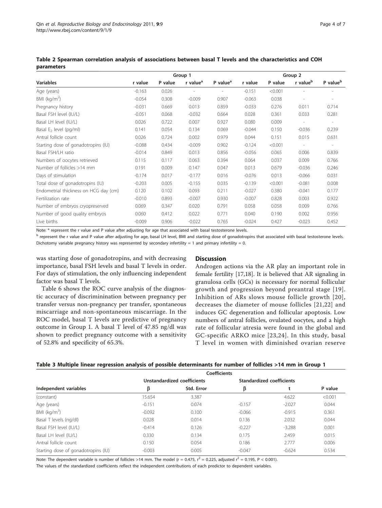|                                       |          |         | Group 1              |                      |          | Group 2 |                          |                          |  |
|---------------------------------------|----------|---------|----------------------|----------------------|----------|---------|--------------------------|--------------------------|--|
| <b>Variables</b>                      | r value  | P value | r value <sup>a</sup> | P value <sup>a</sup> | r value  | P value | r value <sup>b</sup>     | P value <sup>b</sup>     |  |
| Age (years)                           | $-0.163$ | 0.026   |                      |                      | $-0.151$ | < 0.001 |                          |                          |  |
| BMI ( $kg/m2$ )                       | $-0.054$ | 0.308   | $-0.009$             | 0.907                | $-0.063$ | 0.038   |                          |                          |  |
| Pregnancy history                     | $-0.031$ | 0.669   | 0.013                | 0.859                | $-0.033$ | 0.276   | 0.011                    | 0.714                    |  |
| Basal FSH level (IU/L)                | $-0.051$ | 0.068   | $-0.032$             | 0.664                | 0.028    | 0.361   | 0.033                    | 0.281                    |  |
| Basal LH level (IU/L)                 | 0.026    | 0.722   | 0.007                | 0.927                | 0.080    | 0.009   |                          |                          |  |
| Basal $E_2$ level (pg/ml)             | 0.141    | 0.054   | 0.134                | 0.069                | $-0.044$ | 0.150   | $-0.036$                 | 0.239                    |  |
| Antral follicle count                 | 0.026    | 0.724   | 0.002                | 0.979                | 0.044    | 0.151   | 0.015                    | 0.631                    |  |
| Starting dose of gonadotropins (IU)   | $-0.088$ | 0.434   | $-0.009$             | 0.902                | $-0.124$ | < 0.001 | $\overline{\phantom{a}}$ | $\overline{\phantom{a}}$ |  |
| Basal FSH/LH ratio                    | $-0.014$ | 0.849   | 0.013                | 0.856                | $-0.056$ | 0.065   | 0.006                    | 0.839                    |  |
| Numbers of oocytes retrieved          | 0.115    | 0.117   | 0.063                | 0.394                | 0.064    | 0.037   | 0.009                    | 0.766                    |  |
| Number of follicles >14 mm            | 0.191    | 0.009   | 0.147                | 0.047                | 0.013    | 0.679   | $-0.036$                 | 0.246                    |  |
| Days of stimulation                   | $-0.174$ | 0.017   | $-0.177$             | 0.016                | $-0.076$ | 0.013   | $-0.066$                 | 0.031                    |  |
| Total dose of gonadotropins (IU)      | $-0.203$ | 0.005   | $-0.155$             | 0.035                | $-0.139$ | < 0.001 | $-0.081$                 | 0.008                    |  |
| Endometrial thickness on HCG day (cm) | 0.120    | 0.102   | 0.093                | 0.211                | $-0.027$ | 0.380   | $-0.041$                 | 0.177                    |  |
| Fertilization rate                    | $-0.010$ | 0.893   | $-0.007$             | 0.930                | $-0.007$ | 0.828   | 0.003                    | 0.922                    |  |
| Number of embryos cryopreserved       | 0.069    | 0.347   | 0.020                | 0.791                | 0.058    | 0.058   | 0.009                    | 0.766                    |  |
| Number of good quality embryos        | 0.060    | 0.412   | 0.022                | 0.771                | 0.040    | 0.190   | 0.002                    | 0.956                    |  |
| Live births                           | $-0.009$ | 0.906   | $-0.022$             | 0.765                | $-0.024$ | 0.427   | $-0.023$                 | 0.452                    |  |

<span id="page-3-0"></span>Table 2 Spearman correlation analysis of associations between basal T levels and the characteristics and COH parameters

Note: <sup>a</sup> represent the r value and P value after adjusting for age that associated with basal testosterone levels.

<sup>b</sup> represent the r value and P value after adjusting for age, basal LH level, BMI and starting dose of gonadotropins that associated with basal testosterone levels. Dichotomy variable pregnancy history was represented by secondary infertility = 1 and primary infertility = 0.

was starting dose of gonadotropins, and with decreasing importance, basal FSH levels and basal T levels in order. For days of stimulation, the only influencing independent factor was basal T levels.

Table [6](#page-5-0) shows the ROC curve analysis of the diagnostic accuracy of discriminination between pregnancy per transfer versus non-pregnancy per transfer, spontaneous miscarriage and non-spontaneous miscarriage. In the ROC model, basal T levels are predictive of pregnancy outcome in Group 1. A basal T level of 47.85 ng/dl was shown to predict pregnancy outcome with a sensitivity of 52.8% and specificity of 65.3%.

#### **Discussion**

Androgen actions via the AR play an important role in female fertility [\[17,18\]](#page-6-0). It is believed that AR signaling in granulosa cells (GCs) is necessary for normal follicular growth and progression beyond preantral stage [\[19\]](#page-6-0). Inhibition of ARs slows mouse follicle growth [[20\]](#page-6-0), decreases the diameter of mouse follicles [[21](#page-6-0),[22](#page-6-0)] and induces GC degeneration and follicular apoptosis. Low numbers of antral follicles, ovulated oocytes, and a high rate of follicular atresia were found in the global and GC-specific ARKO mice [[23](#page-6-0),[24](#page-6-0)]. In this study, basal T level in women with diminished ovarian reserve

| Table 3 Multiple linear regression analysis of possible determinants for number of follicles >14 mm in Group 1 |  |  |  |  |  |
|----------------------------------------------------------------------------------------------------------------|--|--|--|--|--|
|----------------------------------------------------------------------------------------------------------------|--|--|--|--|--|

|                                     |          | <b>Coefficients</b>         |          |                           |         |
|-------------------------------------|----------|-----------------------------|----------|---------------------------|---------|
|                                     |          | Unstandardized coefficients |          | Standardized coefficients |         |
| Independent variables               | β        | Std. Error                  | β        |                           | P value |
| (constant)                          | 15.654   | 3.387                       |          | 4.622                     | < 0.001 |
| Age (years)                         | $-0.151$ | 0.074                       | $-0.157$ | $-2.027$                  | 0.044   |
| BMI ( $kg/m2$ )                     | $-0.092$ | 0.100                       | $-0.066$ | $-0.915$                  | 0.361   |
| Basal T levels (ng/dl)              | 0.028    | 0.014                       | 0.136    | 2.032                     | 0.044   |
| Basal FSH level (IU/L)              | $-0.414$ | 0.126                       | $-0.227$ | $-3.288$                  | 0.001   |
| Basal LH level (IU/L)               | 0.330    | 0.134                       | 0.175    | 2.459                     | 0.015   |
| Antral follicle count               | 0.150    | 0.054                       | 0.186    | 2.777                     | 0.006   |
| Starting dose of gonadotropins (IU) | $-0.003$ | 0.005                       | $-0.047$ | $-0.624$                  | 0.534   |

Note: The dependent variable is number of follicles >14 mm. The model (r = 0.475,  $r^2$  = 0.225, adjusted  $r^2$  = 0.195, P < 0.001).

The values of the standardized coefficients reflect the independent contributions of each predictor to dependent variables.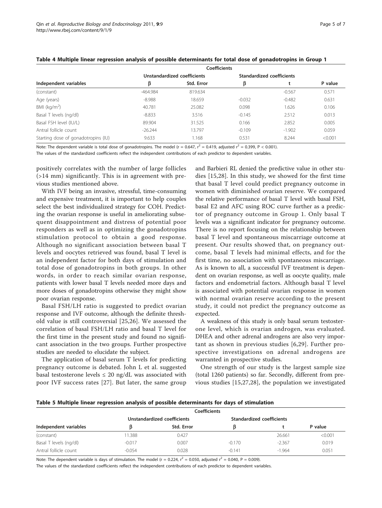|                                     |            | <b>Coefficients</b>         |          |                           |         |
|-------------------------------------|------------|-----------------------------|----------|---------------------------|---------|
|                                     |            | Unstandardized coefficients |          | Standardized coefficients |         |
| Independent variables               | ß          | Std. Error                  | β        |                           | P value |
| (constant)                          | $-464.984$ | 819.634                     |          | $-0.567$                  | 0.571   |
| Age (years)                         | $-8.988$   | 18.659                      | $-0.032$ | $-0.482$                  | 0.631   |
| BMI ( $kg/m2$ )                     | 40.781     | 25.082                      | 0.098    | 1.626                     | 0.106   |
| Basal T levels (ng/dl)              | $-8.833$   | 3.516                       | $-0.145$ | 2.512                     | 0.013   |
| Basal FSH level (IU/L)              | 89.904     | 31.525                      | 0.166    | 2.852                     | 0.005   |
| Antral follicle count               | $-26.244$  | 13.797                      | $-0.109$ | $-1.902$                  | 0.059   |
| Starting dose of gonadotropins (IU) | 9.633      | 1.168                       | 0.531    | 8.244                     | < 0.001 |

#### <span id="page-4-0"></span>Table 4 Multiple linear regression analysis of possible determinants for total dose of gonadotropins in Group 1

Note: The dependent variable is total dose of gonadotropins. The model (r = 0.647,  $r^2 = 0.419$ , adjusted  $r^2 = 0.399$ , P < 0.001).

The values of the standardized coefficients reflect the independent contributions of each predictor to dependent variables.

positively correlates with the number of large follicles (>14 mm) significantly. This is in agreement with previous studies mentioned above.

With IVF being an invasive, stressful, time-consuming and expensive treatment, it is important to help couples select the best individualized strategy for COH. Predicting the ovarian response is useful in ameliorating subsequent disappointment and distress of potential poor responders as well as in optimizing the gonadotropins stimulation protocol to obtain a good response. Although no significant association between basal T levels and oocytes retrieved was found, basal T level is an independent factor for both days of stimulation and total dose of gonadotropins in both groups. In other words, in order to reach similar ovarian response, patients with lower basal T levels needed more days and more doses of gonadotropins otherwise they might show poor ovarian response.

Basal FSH/LH ratio is suggested to predict ovarian response and IVF outcome, although the definite threshold value is still controversial [\[25,26\]](#page-6-0). We assessed the correlation of basal FSH/LH ratio and basal T level for the first time in the present study and found no significant association in the two groups. Further prospective studies are needed to elucidate the subject.

The application of basal serum T levels for predicting pregnancy outcome is debated. John L et al. suggested basal testosterone levels  $\leq 20$  ng/dL was associated with poor IVF success rates [[27](#page-6-0)]. But later, the same group

and Barbieri RL denied the predictive value in other studies [[15,28](#page-6-0)]. In this study, we showed for the first time that basal T level could predict pregnancy outcome in women with diminished ovarian reserve. We compared the relative performance of basal T level with basal FSH, basal E2 and AFC using ROC curve further as a predictor of pregnancy outcome in Group 1. Only basal T levels was a significant indicator for pregnancy outcome. There is no report focusing on the relationship between basal T level and spontaneous miscarriage outcome at present. Our results showed that, on pregnancy outcome, basal T levels had minimal effects, and for the first time, no association with spontaneous miscarriage. As is known to all, a successful IVF treatment is dependent on ovarian response, as well as oocyte quality, male factors and endometrial factors. Although basal T level is associated with potential ovarian response in women with normal ovarian reserve according to the present study, it could not predict the pregnancy outcome as expected.

A weakness of this study is only basal serum testosterone level, which is ovarian androgen, was evaluated. DHEA and other adrenal androgens are also very important as shown in previous studies [\[6,](#page-5-0)[29](#page-6-0)]. Further prospective investigations on adrenal androgens are warranted in prospective studies.

One strength of our study is the largest sample size (total 1260 patients) so far. Secondly, different from previous studies [[15,27,28](#page-6-0)], the population we investigated

#### Table 5 Multiple linear regression analysis of possible determinants for days of stimulation

|                        |          | Coefficients                |                           |          |         |
|------------------------|----------|-----------------------------|---------------------------|----------|---------|
|                        |          | Unstandardized coefficients | Standardized coefficients |          |         |
| Independent variables  |          | Std. Error                  |                           |          | P value |
| (constant)             | 1.388    | 0.427                       |                           | 26.661   | < 0.001 |
| Basal T levels (ng/dl) | $-0.017$ | 0.007                       | $-0.170$                  | $-2.367$ | 0.019   |
| Antral follicle count  | $-0.054$ | 0.028                       | $-0.141$                  | $-1.964$ | 0.051   |

Note: The dependent variable is days of stimulation. The model (r = 0.224,  $r^2$  = 0.050, adjusted  $r^2$  = 0.040, P = 0.009).

The values of the standardized coefficients reflect the independent contributions of each predictor to dependent variables.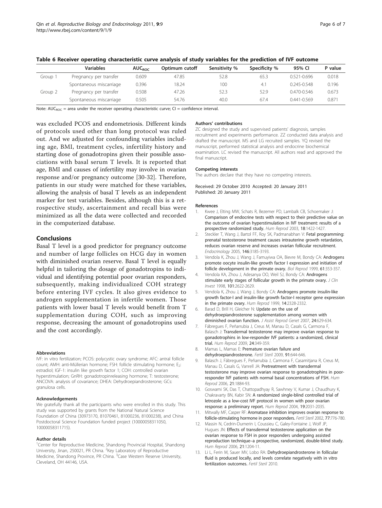|         | <b>Variables</b>        | <b>AUC</b> <sub>ROC</sub> | Optimum cutoff | Sensitivity % | Specificity % | 95% CI          | P value |
|---------|-------------------------|---------------------------|----------------|---------------|---------------|-----------------|---------|
| Group 1 | Pregnancy per transfer  | 0.609                     | 47.85          | 52.8          | 65.3          | $0.521 - 0.696$ | 0.018   |
|         | Spontaneous miscarriage | 0.396                     | 18.24          | 100           | $4^{\circ}$   | $0.245 - 0.548$ | 0.196   |
| Group 2 | Pregnancy per transfer  | 0.508                     | 47.26          | 52.3          | 52.9          | $0.470 - 0.546$ | 0.673   |
|         | Spontaneous miscarriage | 0.505                     | 54.76          | 40.0          | 67.4          | $0.441 - 0.569$ | 0.871   |

<span id="page-5-0"></span>Table 6 Receiver operating characteristic curve analysis of study variables for the prediction of IVF outcome

Note:  $AUC_{POC}$  = area under the receiver operating characteristic curve; CI = confidence interval.

was excluded PCOS and endometriosis. Different kinds of protocols used other than long protocol was ruled out. And we adjusted for confounding variables including age, BMI, treatment cycles, infertility history and starting dose of gonadotropins given their possible associations with basal serum T levels. It is reported that age, BMI and causes of infertility may involve in ovarian response and/or pregnancy outcome [\[30](#page-6-0)-[32\]](#page-6-0). Therefore, patients in our study were matched for these variables, allowing the analysis of basal T levels as an independent marker for test variables. Besides, although this is a retrospective study, ascertainment and recall bias were minimized as all the data were collected and recorded in the computerized database.

#### Conclusions

Basal T level is a good predictor for pregnancy outcome and number of large follicles on HCG day in women with diminished ovarian reserve. Basal T level is equally helpful in tailoring the dosage of gonadotropins to individual and identifying potential poor ovarian responders, subsequently, making individualized COH strategy before entering IVF cycles. It also gives evidence to androgen supplementation in infertile women. Those patients with lower basal T levels would benefit from T supplementation during COH, such as improving response, decreasing the amount of gonadotropins used and the cost accordingly.

#### Abbreviations

IVF: in vitro fertilization; PCOS: polycystic ovary syndrome; AFC: antral follicle count; AMH: anti-Müllerian hormone; FSH: follicle stimulating hormone; E<sub>2</sub>: estradiol; IGF-1: insulin like growth factor 1; COH: controlled ovarian hyperstimulation; GnRH: gonadotropinreleasing hormone; T: testosterone; ANCOVA: analysis of covariance; DHEA: Dehydroepiandrosterone; GCs: granulosa cells.

#### Acknowledgements

We gratefully thank all the participants who were enrolled in this study. This study was supported by grants from the National Natural Science Foundation of China (30973170, 81070461, 81000236, 81000238), and China Postdoctoral Science Foundation funded project (10000058311050, 10000058311715).

#### Author details

<sup>1</sup>Center for Reproductive Medicine, Shandong Provincial Hospital, Shandong University, Jinan, 250021, PR China. <sup>2</sup>Key Laboratory of Reproductive Medicine, Shandong Province, PR China. <sup>3</sup>Case Western Reserve University, Cleveland, OH 44146, USA.

#### Authors' contributions

ZC designed the study and supervised patients' diagnosis, samples recruitment and experiments performance. ZZ conducted data analysis and drafted the manuscript. MS and LG recruited samples. YQ revised the manuscript, performed statistical analysis and endocrine biochemical examination. LC revised the manuscript. All authors read and approved the final manuscript.

#### Competing interests

The authors declare that they have no competing interests.

Received: 29 October 2010 Accepted: 20 January 2011 Published: 20 January 2011

#### References

- 1. Kwee J, Elting MW, Schats R, Bezemer PD, Lambalk CB, Schoemaker J: [Comparison of endocrine tests with respect to their predictive value on](http://www.ncbi.nlm.nih.gov/pubmed/12832366?dopt=Abstract) [the outcome of ovarian hyperstimulation in IVF treatment: results of a](http://www.ncbi.nlm.nih.gov/pubmed/12832366?dopt=Abstract) [prospective randomized study.](http://www.ncbi.nlm.nih.gov/pubmed/12832366?dopt=Abstract) Hum Reprod 2003, 18:1422-1427.
- 2. Steckler T, Wang J, Bartol FF, Roy SK, Padmanabhan V: [Fetal programming:](http://www.ncbi.nlm.nih.gov/pubmed/15802500?dopt=Abstract) [prenatal testosterone treatment causes intrauterine growth retardation,](http://www.ncbi.nlm.nih.gov/pubmed/15802500?dopt=Abstract) [reduces ovarian reserve and increases ovarian follicular recruitment.](http://www.ncbi.nlm.nih.gov/pubmed/15802500?dopt=Abstract) Endocrinology 2005, 146:3185-3193.
- 3. Vendola K, Zhou J, Wang J, Famuyiwa OA, Bievre M, Bondy CA: [Androgens](http://www.ncbi.nlm.nih.gov/pubmed/10411511?dopt=Abstract) [promote oocyte insulin-like growth factor I expression and initiation of](http://www.ncbi.nlm.nih.gov/pubmed/10411511?dopt=Abstract) [follicle development in the primate ovary.](http://www.ncbi.nlm.nih.gov/pubmed/10411511?dopt=Abstract) Biol Reprod 1999, 61:353-357.
- 4. Vendola KA, Zhou J, Adesanya OO, Weil SJ, Bondy CA: [Androgens](http://www.ncbi.nlm.nih.gov/pubmed/9637695?dopt=Abstract) [stimulate early stages of follicular growth in the primate ovary.](http://www.ncbi.nlm.nih.gov/pubmed/9637695?dopt=Abstract) J Clin Invest 1998, 101:2622-2629.
- 5. Vendola K, Zhou J, Wang J, Bondy CA: [Androgens promote insulin-like](http://www.ncbi.nlm.nih.gov/pubmed/10469704?dopt=Abstract) [growth factor-I and insulin-like growth factor-I receptor gene expression](http://www.ncbi.nlm.nih.gov/pubmed/10469704?dopt=Abstract) [in the primate ovary.](http://www.ncbi.nlm.nih.gov/pubmed/10469704?dopt=Abstract) Hum Reprod 1999, 14:2328-2332.
- 6. Barad D, Brill H, Gleicher N: [Update on the use of](http://www.ncbi.nlm.nih.gov/pubmed/18071895?dopt=Abstract) [dehydroepiandrosterone supplementation among women with](http://www.ncbi.nlm.nih.gov/pubmed/18071895?dopt=Abstract) [diminished ovarian function.](http://www.ncbi.nlm.nih.gov/pubmed/18071895?dopt=Abstract) *J Assist Reprod Genet* 2007, 24:629-634.
- 7. Fábregues F, Peñarrubia J, Creus M, Manau D, Casals G, Carmona F, Balasch J: [Transdermal testosterone may improve ovarian response to](http://www.ncbi.nlm.nih.gov/pubmed/19054777?dopt=Abstract) [gonadotrophins in low-responder IVF patients: a randomized, clinical](http://www.ncbi.nlm.nih.gov/pubmed/19054777?dopt=Abstract) [trial.](http://www.ncbi.nlm.nih.gov/pubmed/19054777?dopt=Abstract) Hum Reprod 2009, 24:349-359.
- 8. Mamas L, Mamas E: [Premature ovarian failure and](http://www.ncbi.nlm.nih.gov/pubmed/18321501?dopt=Abstract) [dehydroepiandrosterone.](http://www.ncbi.nlm.nih.gov/pubmed/18321501?dopt=Abstract) Fertil Steril 2009, 91:644-646.
- 9. Balasch J, Fábregues F, Peñarrubia J, Carmona F, Casamitjana R, Creus M, Manau D, Casals G, Vanrell JA: [Pretreatment with transdermal](http://www.ncbi.nlm.nih.gov/pubmed/16517559?dopt=Abstract) [testosterone may improve ovarian response to gonadotrophins in poor](http://www.ncbi.nlm.nih.gov/pubmed/16517559?dopt=Abstract)[responder IVF patients with normal basal concentrations of FSH.](http://www.ncbi.nlm.nih.gov/pubmed/16517559?dopt=Abstract) Hum Reprod 2006, 21:1884-93.
- 10. Goswami SK, Das T, Chattopadhyay R, Sawhney V, Kumar J, Chaudhury K, Chakravarty BN, Kabir SN: [A randomized single-blind controlled trial of](http://www.ncbi.nlm.nih.gov/pubmed/15217999?dopt=Abstract) [letrozole as a low-cost IVF protocol in women with poor ovarian](http://www.ncbi.nlm.nih.gov/pubmed/15217999?dopt=Abstract) [response: a preliminary report.](http://www.ncbi.nlm.nih.gov/pubmed/15217999?dopt=Abstract) Hum Reprod 2004, 19:2031-2035.
- 11. Mitwally MF, Casper RF: [Aromatase inhibition improves ovarian response to](http://www.ncbi.nlm.nih.gov/pubmed/11937133?dopt=Abstract) [follicle-stimulating hormone in poor responders.](http://www.ncbi.nlm.nih.gov/pubmed/11937133?dopt=Abstract) Fertil Steril 2002, 77:776-780.
- 12. Massin N, Cedrin-Durnerin I, Coussieu C, Galey-Fontaine J, Wolf JP, Hugues JN: [Effects of transdermal testosterone application on the](http://www.ncbi.nlm.nih.gov/pubmed/16476678?dopt=Abstract) [ovarian response to FSH in poor responders undergoing assisted](http://www.ncbi.nlm.nih.gov/pubmed/16476678?dopt=Abstract) reproduction technique–[a prospective, randomized, double-blind study.](http://www.ncbi.nlm.nih.gov/pubmed/16476678?dopt=Abstract) Hum Reprod 2006, 21:1204-11.
- 13. Li L, Ferin M, Sauer MV, Lobo RA: Dehydroepiandrosterone in follicular fluid is produced locally, and levels correlate negatively with in vitro fertilization outcomes. Fertil Steril 2010.